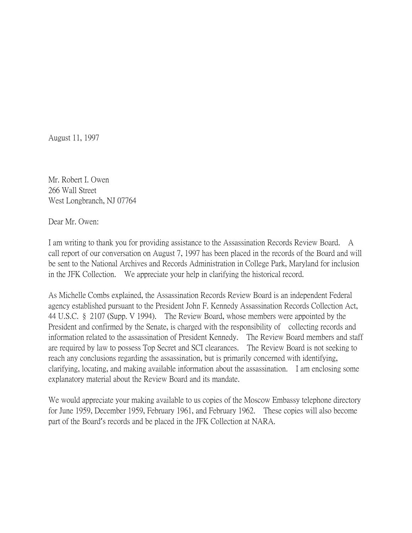August 11, 1997

Mr. Robert I. Owen 266 Wall Street West Longbranch, NJ 07764

Dear Mr. Owen:

I am writing to thank you for providing assistance to the Assassination Records Review Board. A call report of our conversation on August 7, 1997 has been placed in the records of the Board and will be sent to the National Archives and Records Administration in College Park, Maryland for inclusion in the JFK Collection. We appreciate your help in clarifying the historical record.

As Michelle Combs explained, the Assassination Records Review Board is an independent Federal agency established pursuant to the President John F. Kennedy Assassination Records Collection Act, 44 U.S.C. § 2107 (Supp. V 1994). The Review Board, whose members were appointed by the President and confirmed by the Senate, is charged with the responsibility of collecting records and information related to the assassination of President Kennedy. The Review Board members and staff are required by law to possess Top Secret and SCI clearances. The Review Board is not seeking to reach any conclusions regarding the assassination, but is primarily concerned with identifying, clarifying, locating, and making available information about the assassination. I am enclosing some explanatory material about the Review Board and its mandate.

We would appreciate your making available to us copies of the Moscow Embassy telephone directory for June 1959, December 1959, February 1961, and February 1962. These copies will also become part of the Board's records and be placed in the JFK Collection at NARA.